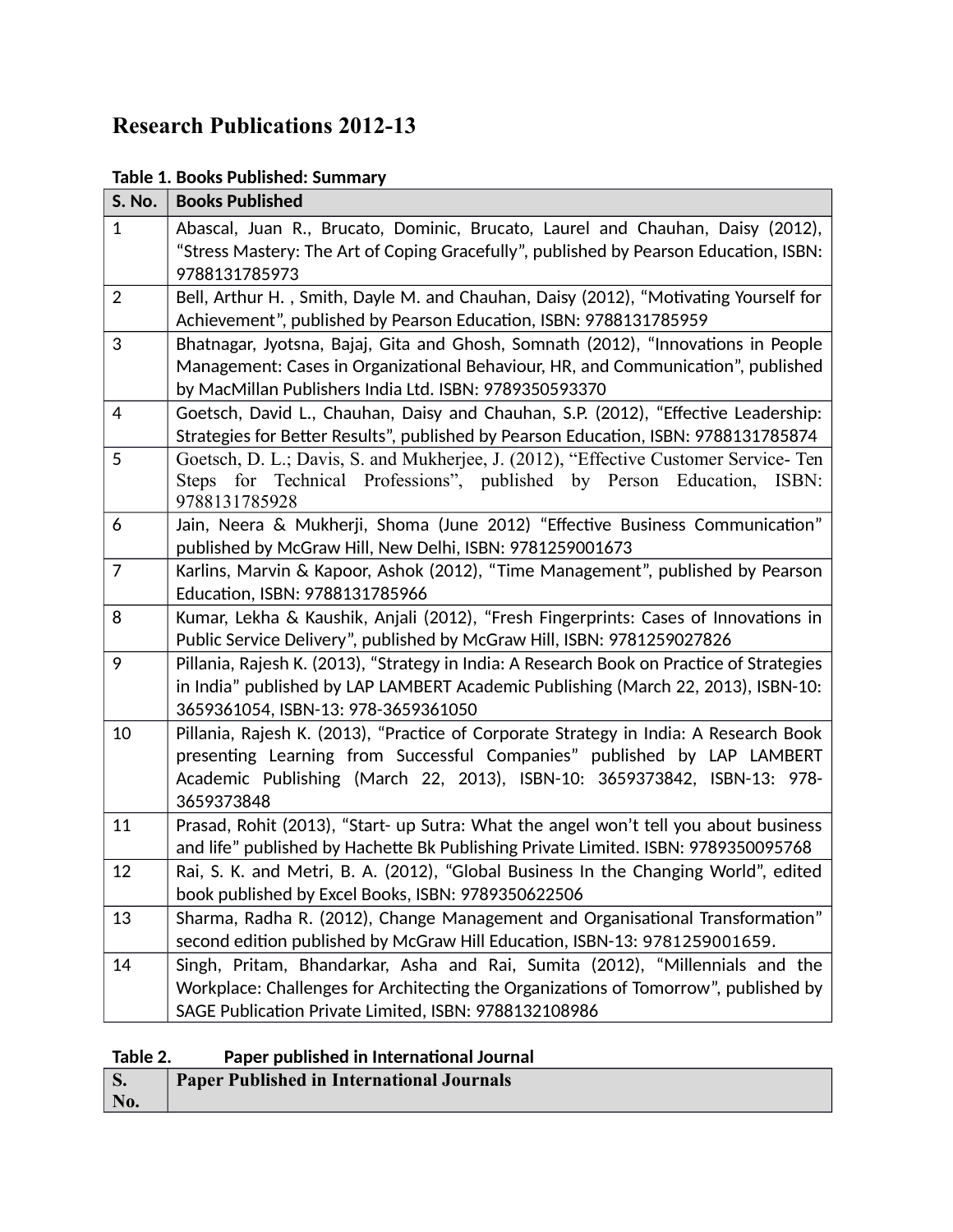# **Research Publications 2012-13**

F

| S. No.         | <b>Books Published</b>                                                                                                                                                                                                                                     |
|----------------|------------------------------------------------------------------------------------------------------------------------------------------------------------------------------------------------------------------------------------------------------------|
| $\mathbf{1}$   | Abascal, Juan R., Brucato, Dominic, Brucato, Laurel and Chauhan, Daisy (2012),<br>"Stress Mastery: The Art of Coping Gracefully", published by Pearson Education, ISBN:<br>9788131785973                                                                   |
| $\overline{2}$ | Bell, Arthur H., Smith, Dayle M. and Chauhan, Daisy (2012), "Motivating Yourself for<br>Achievement", published by Pearson Education, ISBN: 9788131785959                                                                                                  |
| 3              | Bhatnagar, Jyotsna, Bajaj, Gita and Ghosh, Somnath (2012), "Innovations in People<br>Management: Cases in Organizational Behaviour, HR, and Communication", published<br>by MacMillan Publishers India Ltd. ISBN: 9789350593370                            |
| 4              | Goetsch, David L., Chauhan, Daisy and Chauhan, S.P. (2012), "Effective Leadership:<br>Strategies for Better Results", published by Pearson Education, ISBN: 9788131785874                                                                                  |
| 5              | Goetsch, D. L.; Davis, S. and Mukherjee, J. (2012), "Effective Customer Service-Ten<br>Steps for Technical Professions", published by Person Education, ISBN:<br>9788131785928                                                                             |
| 6              | Jain, Neera & Mukherji, Shoma (June 2012) "Effective Business Communication"<br>published by McGraw Hill, New Delhi, ISBN: 9781259001673                                                                                                                   |
| $\overline{7}$ | Karlins, Marvin & Kapoor, Ashok (2012), "Time Management", published by Pearson<br>Education, ISBN: 9788131785966                                                                                                                                          |
| 8              | Kumar, Lekha & Kaushik, Anjali (2012), "Fresh Fingerprints: Cases of Innovations in<br>Public Service Delivery", published by McGraw Hill, ISBN: 9781259027826                                                                                             |
| 9              | Pillania, Rajesh K. (2013), "Strategy in India: A Research Book on Practice of Strategies<br>in India" published by LAP LAMBERT Academic Publishing (March 22, 2013), ISBN-10:<br>3659361054, ISBN-13: 978-3659361050                                      |
| 10             | Pillania, Rajesh K. (2013), "Practice of Corporate Strategy in India: A Research Book<br>presenting Learning from Successful Companies" published by LAP LAMBERT<br>Academic Publishing (March 22, 2013), ISBN-10: 3659373842, ISBN-13: 978-<br>3659373848 |
| 11             | Prasad, Rohit (2013), "Start- up Sutra: What the angel won't tell you about business<br>and life" published by Hachette Bk Publishing Private Limited. ISBN: 9789350095768                                                                                 |
| 12             | Rai, S. K. and Metri, B. A. (2012), "Global Business In the Changing World", edited<br>book published by Excel Books, ISBN: 9789350622506                                                                                                                  |
| 13             | Sharma, Radha R. (2012), Change Management and Organisational Transformation"<br>second edition published by McGraw Hill Education, ISBN-13: 9781259001659.                                                                                                |
| 14             | Singh, Pritam, Bhandarkar, Asha and Rai, Sumita (2012), "Millennials and the<br>Workplace: Challenges for Architecting the Organizations of Tomorrow", published by<br>SAGE Publication Private Limited, ISBN: 9788132108986                               |

### **Table 2. Paper published in International Journal**

|     | <b>Paper Published in International Journals</b> |
|-----|--------------------------------------------------|
| No. |                                                  |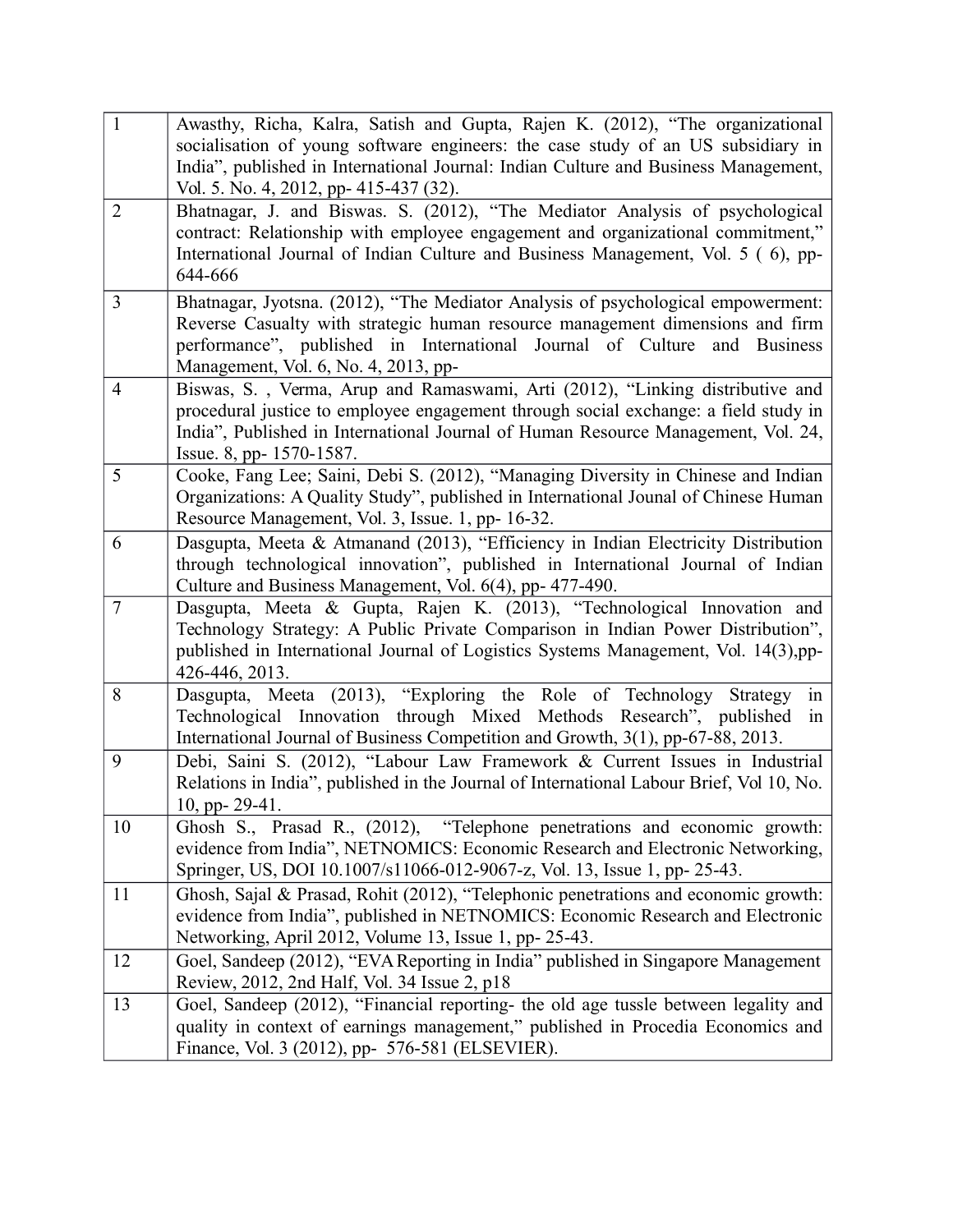| $\mathbf{1}$   | Awasthy, Richa, Kalra, Satish and Gupta, Rajen K. (2012), "The organizational<br>socialisation of young software engineers: the case study of an US subsidiary in<br>India", published in International Journal: Indian Culture and Business Management,<br>Vol. 5. No. 4, 2012, pp- 415-437 (32). |
|----------------|----------------------------------------------------------------------------------------------------------------------------------------------------------------------------------------------------------------------------------------------------------------------------------------------------|
| $\overline{2}$ | Bhatnagar, J. and Biswas. S. (2012), "The Mediator Analysis of psychological<br>contract: Relationship with employee engagement and organizational commitment,"<br>International Journal of Indian Culture and Business Management, Vol. 5 (6), pp-<br>644-666                                     |
| $\overline{3}$ | Bhatnagar, Jyotsna. (2012), "The Mediator Analysis of psychological empowerment:<br>Reverse Casualty with strategic human resource management dimensions and firm<br>performance", published in International Journal of Culture<br>and Business<br>Management, Vol. 6, No. 4, 2013, pp-           |
| $\overline{4}$ | Biswas, S., Verma, Arup and Ramaswami, Arti (2012), "Linking distributive and<br>procedural justice to employee engagement through social exchange: a field study in<br>India", Published in International Journal of Human Resource Management, Vol. 24,<br>Issue. 8, pp- 1570-1587.              |
| 5              | Cooke, Fang Lee; Saini, Debi S. (2012), "Managing Diversity in Chinese and Indian<br>Organizations: A Quality Study", published in International Jounal of Chinese Human<br>Resource Management, Vol. 3, Issue. 1, pp- 16-32.                                                                      |
| 6              | Dasgupta, Meeta & Atmanand (2013), "Efficiency in Indian Electricity Distribution<br>through technological innovation", published in International Journal of Indian<br>Culture and Business Management, Vol. 6(4), pp- 477-490.                                                                   |
| $\overline{7}$ | Dasgupta, Meeta & Gupta, Rajen K. (2013), "Technological Innovation and<br>Technology Strategy: A Public Private Comparison in Indian Power Distribution",<br>published in International Journal of Logistics Systems Management, Vol. 14(3),pp-<br>426-446, 2013.                                 |
| 8              | Dasgupta, Meeta (2013), "Exploring the Role of Technology Strategy<br>in<br>Technological Innovation through Mixed Methods Research", published<br>1n<br>International Journal of Business Competition and Growth, 3(1), pp-67-88, 2013.                                                           |
| 9              | Debi, Saini S. (2012), "Labour Law Framework & Current Issues in Industrial<br>Relations in India", published in the Journal of International Labour Brief, Vol 10, No.<br>10, pp- $29-41$ .                                                                                                       |
| 10             | Ghosh S., Prasad R., (2012), "Telephone penetrations and economic growth:<br>evidence from India", NETNOMICS: Economic Research and Electronic Networking,<br>Springer, US, DOI 10.1007/s11066-012-9067-z, Vol. 13, Issue 1, pp- 25-43.                                                            |
| 11             | Ghosh, Sajal & Prasad, Rohit (2012), "Telephonic penetrations and economic growth:<br>evidence from India", published in NETNOMICS: Economic Research and Electronic<br>Networking, April 2012, Volume 13, Issue 1, pp- 25-43.                                                                     |
| 12             | Goel, Sandeep (2012), "EVA Reporting in India" published in Singapore Management<br>Review, 2012, 2nd Half, Vol. 34 Issue 2, p18                                                                                                                                                                   |
| 13             | Goel, Sandeep (2012), "Financial reporting- the old age tussle between legality and<br>quality in context of earnings management," published in Procedia Economics and<br>Finance, Vol. 3 (2012), pp- 576-581 (ELSEVIER).                                                                          |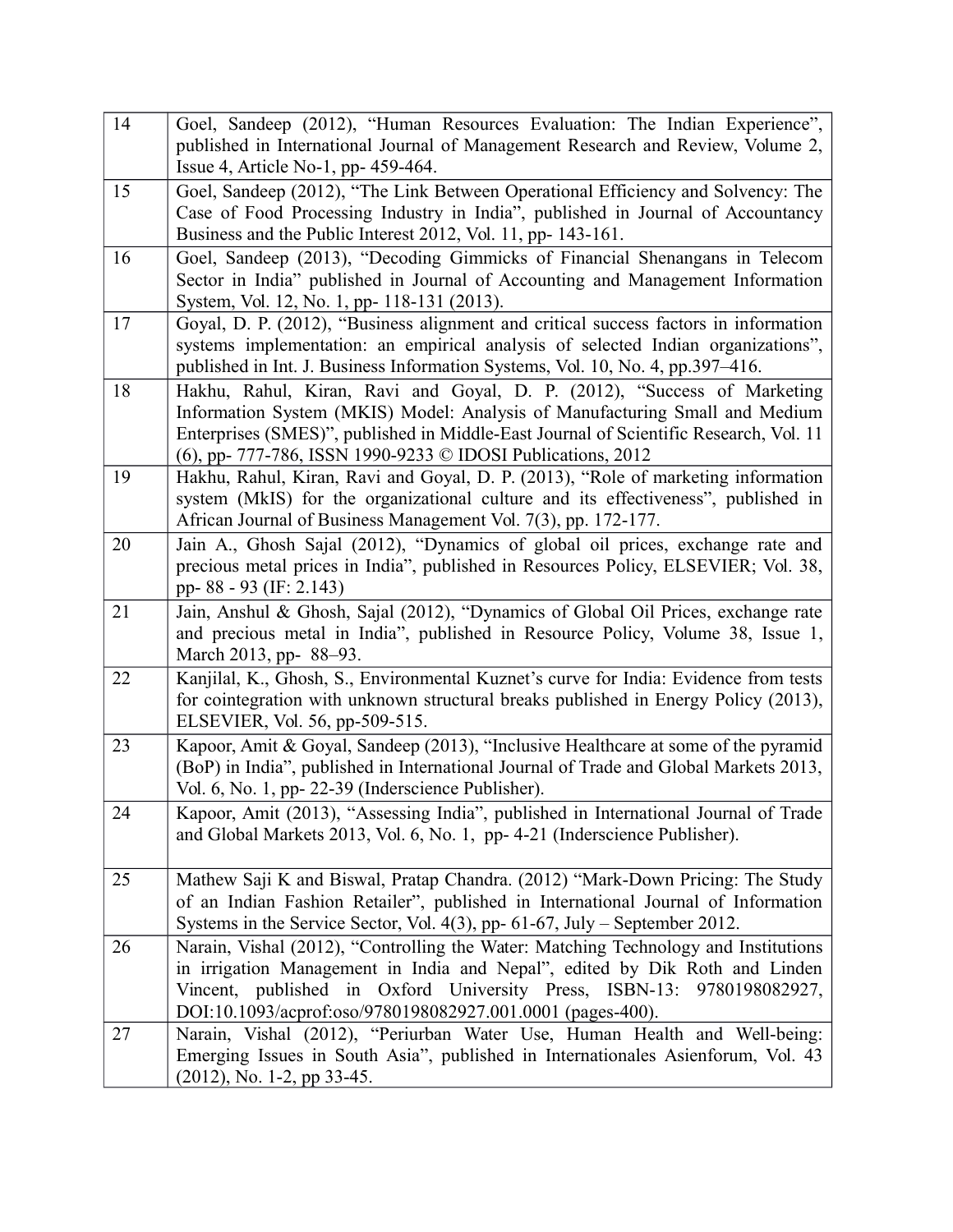| 14 | Goel, Sandeep (2012), "Human Resources Evaluation: The Indian Experience",                                                                       |
|----|--------------------------------------------------------------------------------------------------------------------------------------------------|
|    | published in International Journal of Management Research and Review, Volume 2,                                                                  |
|    | Issue 4, Article No-1, pp- 459-464.                                                                                                              |
| 15 | Goel, Sandeep (2012), "The Link Between Operational Efficiency and Solvency: The                                                                 |
|    | Case of Food Processing Industry in India", published in Journal of Accountancy<br>Business and the Public Interest 2012, Vol. 11, pp- 143-161.  |
| 16 | Goel, Sandeep (2013), "Decoding Gimmicks of Financial Shenangans in Telecom                                                                      |
|    | Sector in India" published in Journal of Accounting and Management Information                                                                   |
|    | System, Vol. 12, No. 1, pp- 118-131 (2013).                                                                                                      |
| 17 | Goyal, D. P. (2012), "Business alignment and critical success factors in information                                                             |
|    | systems implementation: an empirical analysis of selected Indian organizations",                                                                 |
|    | published in Int. J. Business Information Systems, Vol. 10, No. 4, pp.397-416.                                                                   |
| 18 | Hakhu, Rahul, Kiran, Ravi and Goyal, D. P. (2012), "Success of Marketing                                                                         |
|    | Information System (MKIS) Model: Analysis of Manufacturing Small and Medium                                                                      |
|    | Enterprises (SMES)", published in Middle-East Journal of Scientific Research, Vol. 11                                                            |
| 19 | (6), pp- 777-786, ISSN 1990-9233 © IDOSI Publications, 2012<br>Hakhu, Rahul, Kiran, Ravi and Goyal, D. P. (2013), "Role of marketing information |
|    | system (MkIS) for the organizational culture and its effectiveness", published in                                                                |
|    | African Journal of Business Management Vol. 7(3), pp. 172-177.                                                                                   |
| 20 | Jain A., Ghosh Sajal (2012), "Dynamics of global oil prices, exchange rate and                                                                   |
|    | precious metal prices in India", published in Resources Policy, ELSEVIER; Vol. 38,                                                               |
|    | pp-88 - 93 (IF: 2.143)                                                                                                                           |
| 21 | Jain, Anshul & Ghosh, Sajal (2012), "Dynamics of Global Oil Prices, exchange rate                                                                |
|    | and precious metal in India", published in Resource Policy, Volume 38, Issue 1,                                                                  |
| 22 | March 2013, pp-88–93.<br>Kanjilal, K., Ghosh, S., Environmental Kuznet's curve for India: Evidence from tests                                    |
|    | for cointegration with unknown structural breaks published in Energy Policy (2013),                                                              |
|    | ELSEVIER, Vol. 56, pp-509-515.                                                                                                                   |
| 23 | Kapoor, Amit & Goyal, Sandeep (2013), "Inclusive Healthcare at some of the pyramid                                                               |
|    | (BoP) in India", published in International Journal of Trade and Global Markets 2013,                                                            |
|    | Vol. 6, No. 1, pp- 22-39 (Inderscience Publisher).                                                                                               |
| 24 | Kapoor, Amit (2013), "Assessing India", published in International Journal of Trade                                                              |
|    | and Global Markets 2013, Vol. 6, No. 1, pp- 4-21 (Inderscience Publisher).                                                                       |
| 25 | Mathew Saji K and Biswal, Pratap Chandra. (2012) "Mark-Down Pricing: The Study                                                                   |
|    | of an Indian Fashion Retailer", published in International Journal of Information                                                                |
|    | Systems in the Service Sector, Vol. 4(3), pp- 61-67, July - September 2012.                                                                      |
| 26 | Narain, Vishal (2012), "Controlling the Water: Matching Technology and Institutions                                                              |
|    | in irrigation Management in India and Nepal", edited by Dik Roth and Linden                                                                      |
|    | Vincent, published in Oxford University Press, ISBN-13: 9780198082927,                                                                           |
|    | DOI:10.1093/acprof:oso/9780198082927.001.0001 (pages-400).                                                                                       |
| 27 | Narain, Vishal (2012), "Periurban Water Use, Human Health and Well-being:                                                                        |
|    | Emerging Issues in South Asia", published in Internationales Asienforum, Vol. 43                                                                 |
|    | $(2012)$ , No. 1-2, pp 33-45.                                                                                                                    |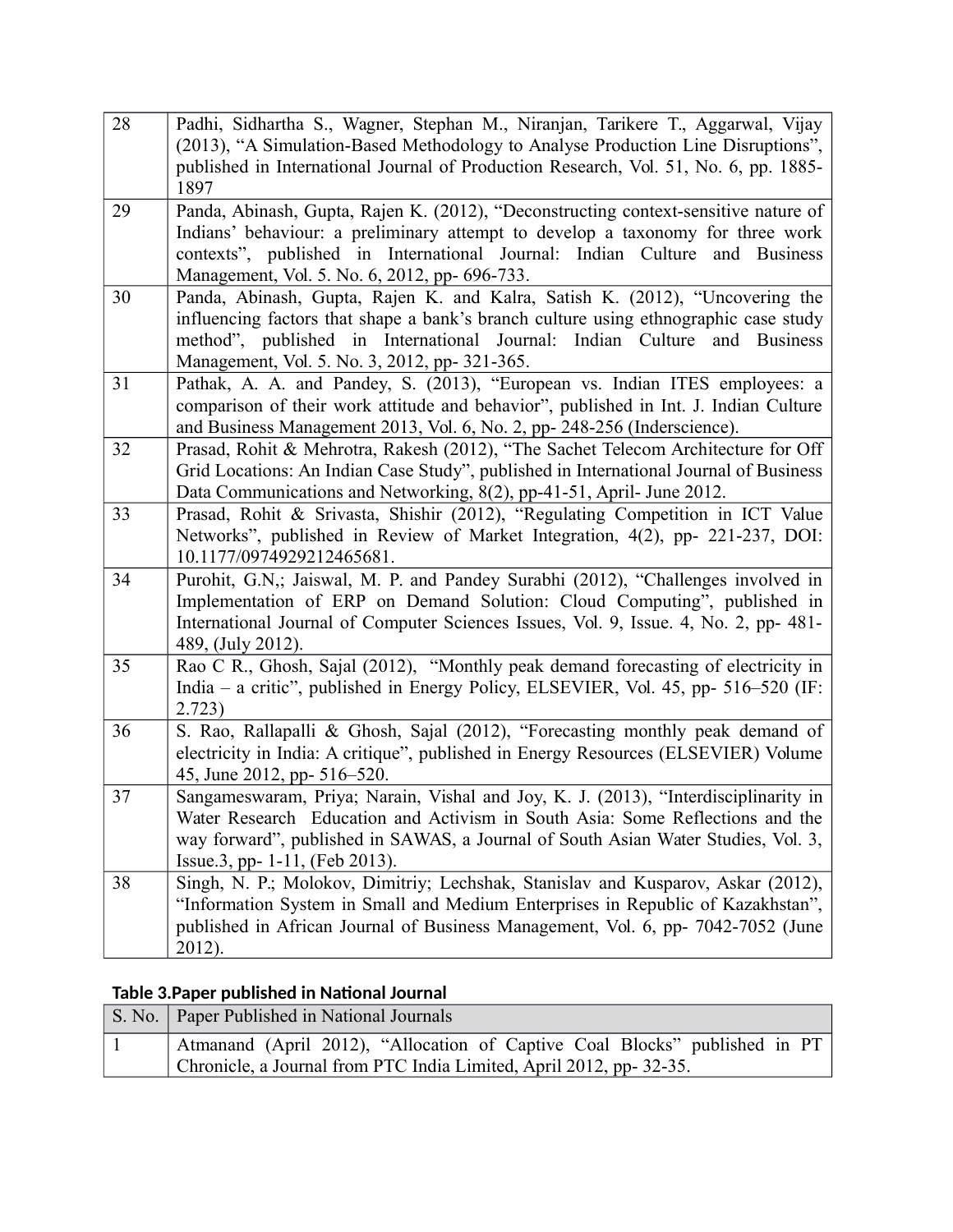| 28 | Padhi, Sidhartha S., Wagner, Stephan M., Niranjan, Tarikere T., Aggarwal, Vijay<br>(2013), "A Simulation-Based Methodology to Analyse Production Line Disruptions",<br>published in International Journal of Production Research, Vol. 51, No. 6, pp. 1885-<br>1897                                  |
|----|------------------------------------------------------------------------------------------------------------------------------------------------------------------------------------------------------------------------------------------------------------------------------------------------------|
| 29 | Panda, Abinash, Gupta, Rajen K. (2012), "Deconstructing context-sensitive nature of<br>Indians' behaviour: a preliminary attempt to develop a taxonomy for three work<br>contexts", published in International Journal: Indian Culture and Business<br>Management, Vol. 5. No. 6, 2012, pp- 696-733. |
| 30 | Panda, Abinash, Gupta, Rajen K. and Kalra, Satish K. (2012), "Uncovering the<br>influencing factors that shape a bank's branch culture using ethnographic case study<br>method", published in International Journal: Indian Culture<br>and Business<br>Management, Vol. 5. No. 3, 2012, pp-321-365.  |
| 31 | Pathak, A. A. and Pandey, S. (2013), "European vs. Indian ITES employees: a<br>comparison of their work attitude and behavior", published in Int. J. Indian Culture<br>and Business Management 2013, Vol. 6, No. 2, pp- 248-256 (Inderscience).                                                      |
| 32 | Prasad, Rohit & Mehrotra, Rakesh (2012), "The Sachet Telecom Architecture for Off<br>Grid Locations: An Indian Case Study", published in International Journal of Business<br>Data Communications and Networking, 8(2), pp-41-51, April- June 2012.                                                  |
| 33 | Prasad, Rohit & Srivasta, Shishir (2012), "Regulating Competition in ICT Value<br>Networks", published in Review of Market Integration, 4(2), pp- 221-237, DOI:<br>10.1177/0974929212465681.                                                                                                         |
| 34 | Purohit, G.N.; Jaiswal, M. P. and Pandey Surabhi (2012), "Challenges involved in<br>Implementation of ERP on Demand Solution: Cloud Computing", published in<br>International Journal of Computer Sciences Issues, Vol. 9, Issue. 4, No. 2, pp- 481-<br>489, (July 2012).                            |
| 35 | Rao C R., Ghosh, Sajal (2012), "Monthly peak demand forecasting of electricity in<br>India – a critic", published in Energy Policy, ELSEVIER, Vol. 45, pp- 516–520 (IF:<br>2.723)                                                                                                                    |
| 36 | S. Rao, Rallapalli & Ghosh, Sajal (2012), "Forecasting monthly peak demand of<br>electricity in India: A critique", published in Energy Resources (ELSEVIER) Volume<br>45, June 2012, pp- 516-520.                                                                                                   |
| 37 | Sangameswaram, Priya; Narain, Vishal and Joy, K. J. (2013), "Interdisciplinarity in<br>Water Research Education and Activism in South Asia: Some Reflections and the<br>way forward", published in SAWAS, a Journal of South Asian Water Studies, Vol. 3,<br>Issue.3, pp- 1-11, (Feb 2013).          |
| 38 | Singh, N. P.; Molokov, Dimitriy; Lechshak, Stanislav and Kusparov, Askar (2012),<br>"Information System in Small and Medium Enterprises in Republic of Kazakhstan",<br>published in African Journal of Business Management, Vol. 6, pp- 7042-7052 (June<br>2012).                                    |

## **Table 3.Paper published in National Journal**

| S. No.   Paper Published in National Journals                              |
|----------------------------------------------------------------------------|
| Atmanand (April 2012), "Allocation of Captive Coal Blocks" published in PT |
| Chronicle, a Journal from PTC India Limited, April 2012, pp-32-35.         |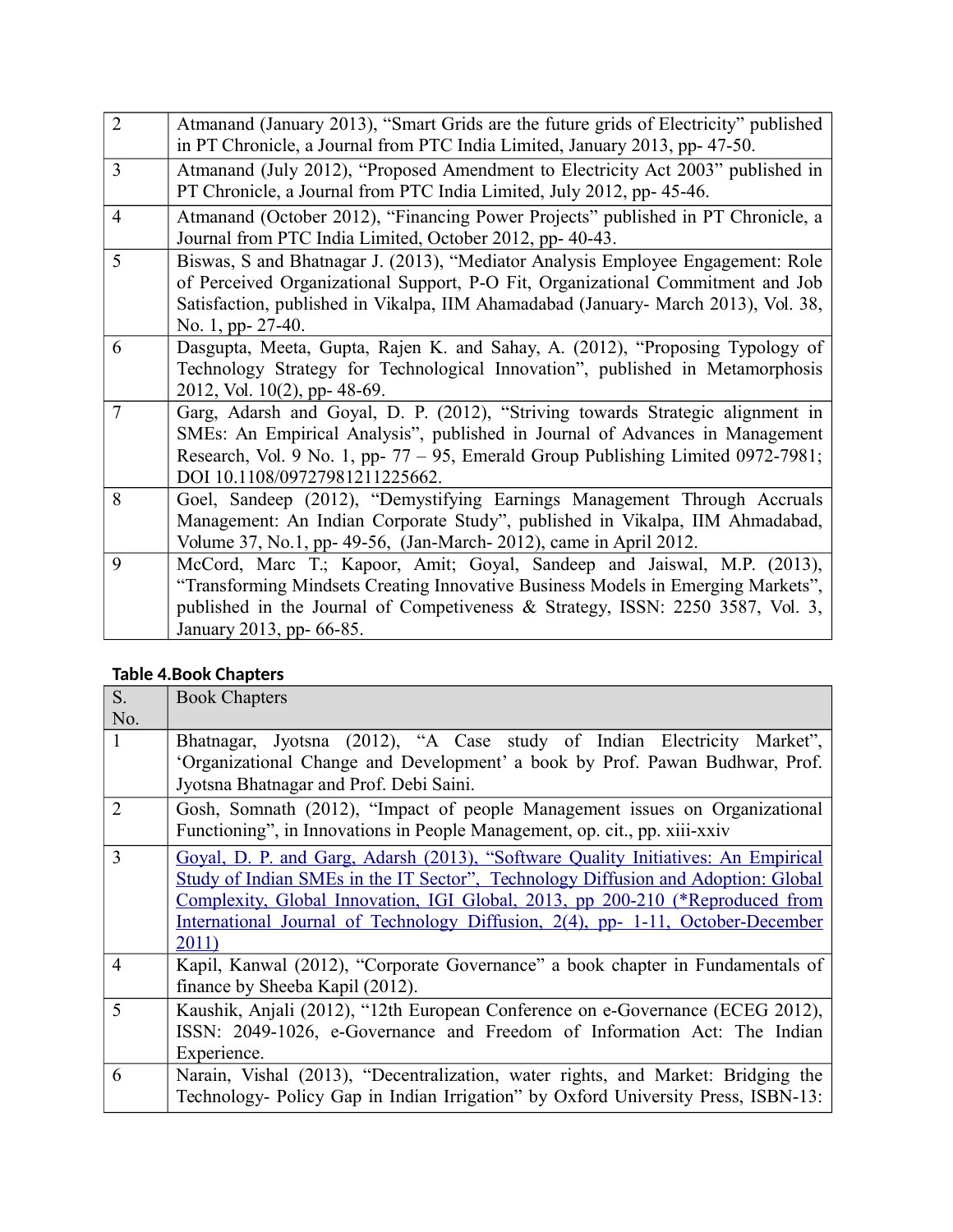| $\overline{2}$ | Atmanand (January 2013), "Smart Grids are the future grids of Electricity" published |
|----------------|--------------------------------------------------------------------------------------|
|                | in PT Chronicle, a Journal from PTC India Limited, January 2013, pp- 47-50.          |
| 3              | Atmanand (July 2012), "Proposed Amendment to Electricity Act 2003" published in      |
|                | PT Chronicle, a Journal from PTC India Limited, July 2012, pp- 45-46.                |
| $\overline{4}$ | Atmanand (October 2012), "Financing Power Projects" published in PT Chronicle, a     |
|                | Journal from PTC India Limited, October 2012, pp- 40-43.                             |
| 5              | Biswas, S and Bhatnagar J. (2013), "Mediator Analysis Employee Engagement: Role      |
|                | of Perceived Organizational Support, P-O Fit, Organizational Commitment and Job      |
|                | Satisfaction, published in Vikalpa, IIM Ahamadabad (January- March 2013), Vol. 38,   |
|                | No. 1, pp- 27-40.                                                                    |
| 6              | Dasgupta, Meeta, Gupta, Rajen K. and Sahay, A. (2012), "Proposing Typology of        |
|                | Technology Strategy for Technological Innovation", published in Metamorphosis        |
|                | 2012, Vol. $10(2)$ , pp- 48-69.                                                      |
| $\overline{7}$ | Garg, Adarsh and Goyal, D. P. (2012), "Striving towards Strategic alignment in       |
|                | SMEs: An Empirical Analysis", published in Journal of Advances in Management         |
|                | Research, Vol. 9 No. 1, pp- 77 – 95, Emerald Group Publishing Limited 0972-7981;     |
|                | DOI 10.1108/09727981211225662.                                                       |
| 8              | Goel, Sandeep (2012), "Demystifying Earnings Management Through Accruals             |
|                | Management: An Indian Corporate Study", published in Vikalpa, IIM Ahmadabad,         |
|                | Volume 37, No.1, pp- 49-56, (Jan-March- 2012), came in April 2012.                   |
| 9              | McCord, Marc T.; Kapoor, Amit; Goyal, Sandeep and Jaiswal, M.P. (2013),              |
|                | "Transforming Mindsets Creating Innovative Business Models in Emerging Markets",     |
|                | published in the Journal of Competiveness & Strategy, ISSN: 2250 3587, Vol. 3,       |
|                | January 2013, pp- 66-85.                                                             |

### **Table 4.Book Chapters**

| S.             | <b>Book Chapters</b>                                                              |
|----------------|-----------------------------------------------------------------------------------|
| No.            |                                                                                   |
| 1              | Bhatnagar, Jyotsna (2012), "A Case study of Indian Electricity Market",           |
|                | 'Organizational Change and Development' a book by Prof. Pawan Budhwar, Prof.      |
|                | Jyotsna Bhatnagar and Prof. Debi Saini.                                           |
| $\overline{2}$ | Gosh, Somnath (2012), "Impact of people Management issues on Organizational       |
|                | Functioning", in Innovations in People Management, op. cit., pp. xiii-xxiv        |
| 3              | Goval, D. P. and Garg, Adarsh (2013), "Software Quality Initiatives: An Empirical |
|                | Study of Indian SMEs in the IT Sector", Technology Diffusion and Adoption: Global |
|                | Complexity, Global Innovation, IGI Global, 2013, pp 200-210 (*Reproduced from     |
|                | International Journal of Technology Diffusion, 2(4), pp- 1-11, October-December   |
|                | 2011)                                                                             |
| $\overline{4}$ | Kapil, Kanwal (2012), "Corporate Governance" a book chapter in Fundamentals of    |
|                | finance by Sheeba Kapil (2012).                                                   |
| 5              | Kaushik, Anjali (2012), "12th European Conference on e-Governance (ECEG 2012),    |
|                | ISSN: 2049-1026, e-Governance and Freedom of Information Act: The Indian          |
|                | Experience.                                                                       |
| 6              | Narain, Vishal (2013), "Decentralization, water rights, and Market: Bridging the  |
|                | Technology- Policy Gap in Indian Irrigation" by Oxford University Press, ISBN-13: |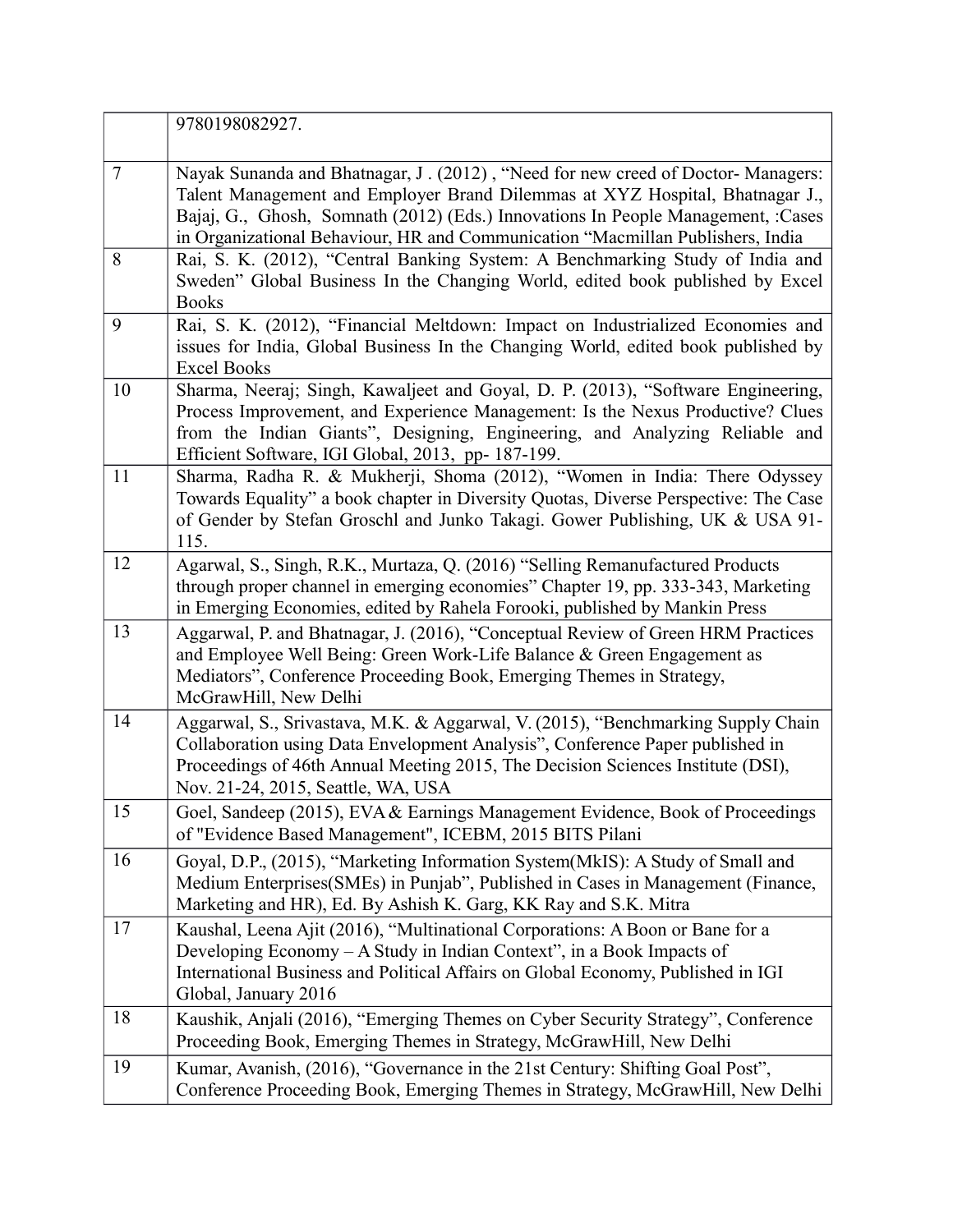|        | 9780198082927.                                                                                                                                                                                                                                                                                                                        |
|--------|---------------------------------------------------------------------------------------------------------------------------------------------------------------------------------------------------------------------------------------------------------------------------------------------------------------------------------------|
| $\tau$ | Nayak Sunanda and Bhatnagar, J. (2012), "Need for new creed of Doctor-Managers:<br>Talent Management and Employer Brand Dilemmas at XYZ Hospital, Bhatnagar J.,<br>Bajaj, G., Ghosh, Somnath (2012) (Eds.) Innovations In People Management, :Cases<br>in Organizational Behaviour, HR and Communication "Macmillan Publishers, India |
| 8      | Rai, S. K. (2012), "Central Banking System: A Benchmarking Study of India and<br>Sweden" Global Business In the Changing World, edited book published by Excel<br><b>Books</b>                                                                                                                                                        |
| 9      | Rai, S. K. (2012), "Financial Meltdown: Impact on Industrialized Economies and<br>issues for India, Global Business In the Changing World, edited book published by<br><b>Excel Books</b>                                                                                                                                             |
| 10     | Sharma, Neeraj; Singh, Kawaljeet and Goyal, D. P. (2013), "Software Engineering,<br>Process Improvement, and Experience Management: Is the Nexus Productive? Clues<br>from the Indian Giants", Designing, Engineering, and Analyzing Reliable and<br>Efficient Software, IGI Global, 2013, pp- 187-199.                               |
| 11     | Sharma, Radha R. & Mukherji, Shoma (2012), "Women in India: There Odyssey<br>Towards Equality" a book chapter in Diversity Quotas, Diverse Perspective: The Case<br>of Gender by Stefan Groschl and Junko Takagi. Gower Publishing, UK & USA 91-<br>115.                                                                              |
| 12     | Agarwal, S., Singh, R.K., Murtaza, Q. (2016) "Selling Remanufactured Products<br>through proper channel in emerging economies" Chapter 19, pp. 333-343, Marketing<br>in Emerging Economies, edited by Rahela Forooki, published by Mankin Press                                                                                       |
| 13     | Aggarwal, P. and Bhatnagar, J. (2016), "Conceptual Review of Green HRM Practices<br>and Employee Well Being: Green Work-Life Balance & Green Engagement as<br>Mediators", Conference Proceeding Book, Emerging Themes in Strategy,<br>McGrawHill, New Delhi                                                                           |
| 14     | Aggarwal, S., Srivastava, M.K. & Aggarwal, V. (2015), "Benchmarking Supply Chain<br>Collaboration using Data Envelopment Analysis", Conference Paper published in<br>Proceedings of 46th Annual Meeting 2015, The Decision Sciences Institute (DSI),<br>Nov. 21-24, 2015, Seattle, WA, USA                                            |
| 15     | Goel, Sandeep (2015), EVA & Earnings Management Evidence, Book of Proceedings<br>of "Evidence Based Management", ICEBM, 2015 BITS Pilani                                                                                                                                                                                              |
| 16     | Goyal, D.P., (2015), "Marketing Information System(MkIS): A Study of Small and<br>Medium Enterprises (SMEs) in Punjab", Published in Cases in Management (Finance,<br>Marketing and HR), Ed. By Ashish K. Garg, KK Ray and S.K. Mitra                                                                                                 |
| 17     | Kaushal, Leena Ajit (2016), "Multinational Corporations: A Boon or Bane for a<br>Developing Economy - A Study in Indian Context", in a Book Impacts of<br>International Business and Political Affairs on Global Economy, Published in IGI<br>Global, January 2016                                                                    |
| 18     | Kaushik, Anjali (2016), "Emerging Themes on Cyber Security Strategy", Conference<br>Proceeding Book, Emerging Themes in Strategy, McGrawHill, New Delhi                                                                                                                                                                               |
| 19     | Kumar, Avanish, (2016), "Governance in the 21st Century: Shifting Goal Post",<br>Conference Proceeding Book, Emerging Themes in Strategy, McGrawHill, New Delhi                                                                                                                                                                       |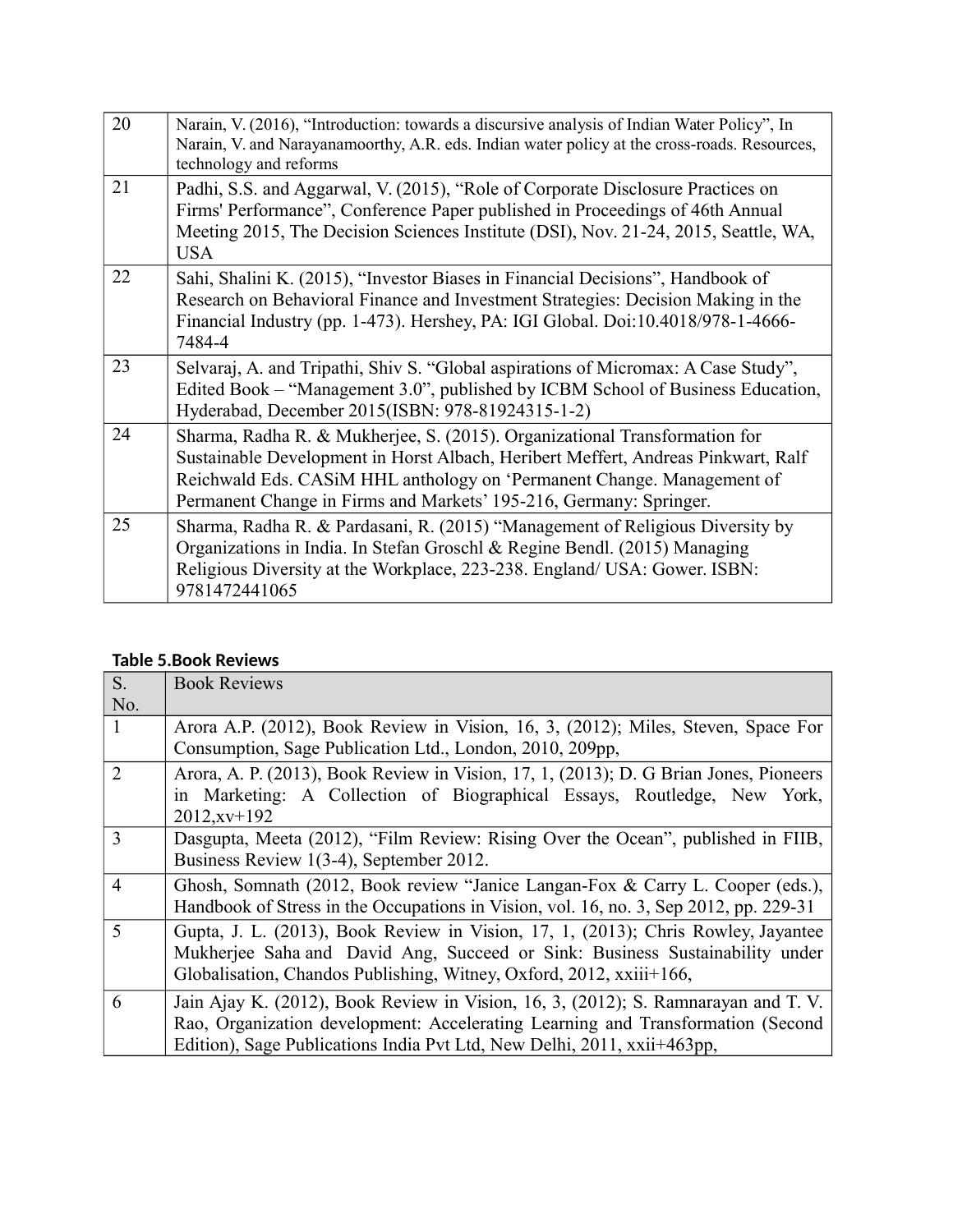| 20 | Narain, V. (2016), "Introduction: towards a discursive analysis of Indian Water Policy", In<br>Narain, V. and Narayanamoorthy, A.R. eds. Indian water policy at the cross-roads. Resources,<br>technology and reforms                                                                                           |
|----|-----------------------------------------------------------------------------------------------------------------------------------------------------------------------------------------------------------------------------------------------------------------------------------------------------------------|
| 21 | Padhi, S.S. and Aggarwal, V. (2015), "Role of Corporate Disclosure Practices on<br>Firms' Performance", Conference Paper published in Proceedings of 46th Annual<br>Meeting 2015, The Decision Sciences Institute (DSI), Nov. 21-24, 2015, Seattle, WA,<br><b>USA</b>                                           |
| 22 | Sahi, Shalini K. (2015), "Investor Biases in Financial Decisions", Handbook of<br>Research on Behavioral Finance and Investment Strategies: Decision Making in the<br>Financial Industry (pp. 1-473). Hershey, PA: IGI Global. Doi:10.4018/978-1-4666-<br>7484-4                                                |
| 23 | Selvaraj, A. and Tripathi, Shiv S. "Global aspirations of Micromax: A Case Study",<br>Edited Book – "Management 3.0", published by ICBM School of Business Education,<br>Hyderabad, December 2015(ISBN: 978-81924315-1-2)                                                                                       |
| 24 | Sharma, Radha R. & Mukherjee, S. (2015). Organizational Transformation for<br>Sustainable Development in Horst Albach, Heribert Meffert, Andreas Pinkwart, Ralf<br>Reichwald Eds. CASiM HHL anthology on 'Permanent Change. Management of<br>Permanent Change in Firms and Markets' 195-216, Germany: Springer. |
| 25 | Sharma, Radha R. & Pardasani, R. (2015) "Management of Religious Diversity by<br>Organizations in India. In Stefan Groschl & Regine Bendl. (2015) Managing<br>Religious Diversity at the Workplace, 223-238. England/ USA: Gower. ISBN:<br>9781472441065                                                        |

#### **Table 5.Book Reviews**

| S <sub>1</sub> | <b>Book Reviews</b>                                                                   |
|----------------|---------------------------------------------------------------------------------------|
| No.            |                                                                                       |
| $\mathbf{1}$   | Arora A.P. (2012), Book Review in Vision, 16, 3, (2012); Miles, Steven, Space For     |
|                | Consumption, Sage Publication Ltd., London, 2010, 209pp,                              |
| $\overline{2}$ | Arora, A. P. (2013), Book Review in Vision, 17, 1, (2013); D. G Brian Jones, Pioneers |
|                | in Marketing: A Collection of Biographical Essays, Routledge, New York,               |
|                | $2012, xy+192$                                                                        |
| 3              | Dasgupta, Meeta (2012), "Film Review: Rising Over the Ocean", published in FIIB,      |
|                | Business Review 1(3-4), September 2012.                                               |
| $\overline{4}$ | Ghosh, Somnath (2012, Book review "Janice Langan-Fox & Carry L. Cooper (eds.),        |
|                | Handbook of Stress in the Occupations in Vision, vol. 16, no. 3, Sep 2012, pp. 229-31 |
| 5              | Gupta, J. L. (2013), Book Review in Vision, 17, 1, (2013); Chris Rowley, Jayantee     |
|                | Mukherjee Saha and David Ang, Succeed or Sink: Business Sustainability under          |
|                | Globalisation, Chandos Publishing, Witney, Oxford, 2012, xxiii+166,                   |
| 6              | Jain Ajay K. (2012), Book Review in Vision, 16, 3, (2012); S. Ramnarayan and T. V.    |
|                | Rao, Organization development: Accelerating Learning and Transformation (Second       |
|                | Edition), Sage Publications India Pvt Ltd, New Delhi, 2011, xxii+463pp,               |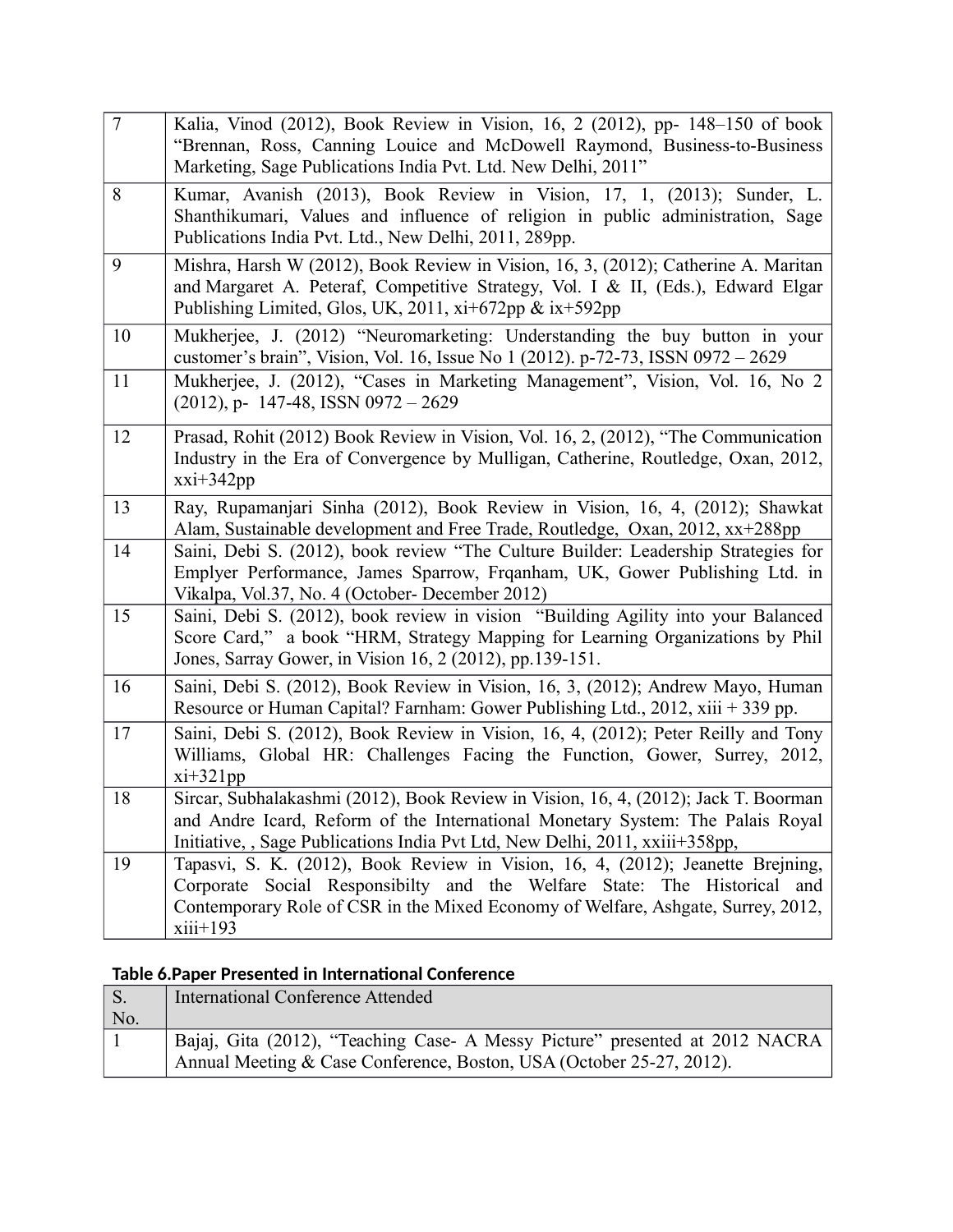| $\overline{7}$ | Kalia, Vinod (2012), Book Review in Vision, 16, 2 (2012), pp- 148-150 of book<br>"Brennan, Ross, Canning Louice and McDowell Raymond, Business-to-Business<br>Marketing, Sage Publications India Pvt. Ltd. New Delhi, 2011"                                 |
|----------------|-------------------------------------------------------------------------------------------------------------------------------------------------------------------------------------------------------------------------------------------------------------|
| 8              | Kumar, Avanish (2013), Book Review in Vision, 17, 1, (2013); Sunder, L.<br>Shanthikumari, Values and influence of religion in public administration, Sage<br>Publications India Pvt. Ltd., New Delhi, 2011, 289pp.                                          |
| 9              | Mishra, Harsh W (2012), Book Review in Vision, 16, 3, (2012); Catherine A. Maritan<br>and Margaret A. Peteraf, Competitive Strategy, Vol. I & II, (Eds.), Edward Elgar<br>Publishing Limited, Glos, UK, 2011, xi+672pp & ix+592pp                           |
| 10             | Mukherjee, J. (2012) "Neuromarketing: Understanding the buy button in your<br>customer's brain", Vision, Vol. 16, Issue No 1 (2012). p-72-73, ISSN 0972 - 2629                                                                                              |
| 11             | Mukherjee, J. (2012), "Cases in Marketing Management", Vision, Vol. 16, No 2<br>$(2012)$ , p- 147-48, ISSN 0972 - 2629                                                                                                                                      |
| 12             | Prasad, Rohit (2012) Book Review in Vision, Vol. 16, 2, (2012), "The Communication<br>Industry in the Era of Convergence by Mulligan, Catherine, Routledge, Oxan, 2012,<br>$xxi+342pp$                                                                      |
| 13             | Ray, Rupamanjari Sinha (2012), Book Review in Vision, 16, 4, (2012); Shawkat<br>Alam, Sustainable development and Free Trade, Routledge, Oxan, 2012, xx+288pp                                                                                               |
| 14             | Saini, Debi S. (2012), book review "The Culture Builder: Leadership Strategies for<br>Emplyer Performance, James Sparrow, Frqanham, UK, Gower Publishing Ltd. in<br>Vikalpa, Vol.37, No. 4 (October- December 2012)                                         |
| 15             | Saini, Debi S. (2012), book review in vision "Building Agility into your Balanced<br>Score Card," a book "HRM, Strategy Mapping for Learning Organizations by Phil<br>Jones, Sarray Gower, in Vision 16, 2 (2012), pp.139-151.                              |
| 16             | Saini, Debi S. (2012), Book Review in Vision, 16, 3, (2012); Andrew Mayo, Human<br>Resource or Human Capital? Farnham: Gower Publishing Ltd., 2012, xiii + 339 pp.                                                                                          |
| 17             | Saini, Debi S. (2012), Book Review in Vision, 16, 4, (2012); Peter Reilly and Tony<br>Williams, Global HR: Challenges Facing the Function, Gower, Surrey, 2012,<br>$xi+321pp$                                                                               |
| 18             | Sircar, Subhalakashmi (2012), Book Review in Vision, 16, 4, (2012); Jack T. Boorman<br>and Andre Icard, Reform of the International Monetary System: The Palais Royal<br>Initiative, , Sage Publications India Pvt Ltd, New Delhi, 2011, xxiii+358pp,       |
| 19             | Tapasvi, S. K. (2012), Book Review in Vision, 16, 4, (2012); Jeanette Brejning,<br>Corporate Social Responsibilty and the Welfare State: The Historical and<br>Contemporary Role of CSR in the Mixed Economy of Welfare, Ashgate, Surrey, 2012,<br>xiii+193 |

### **Table 6.Paper Presented in International Conference**

| $\vert S.$  | International Conference Attended                                            |
|-------------|------------------------------------------------------------------------------|
| $\vert$ No. |                                                                              |
|             | Bajaj, Gita (2012), "Teaching Case- A Messy Picture" presented at 2012 NACRA |
|             | Annual Meeting & Case Conference, Boston, USA (October 25-27, 2012).         |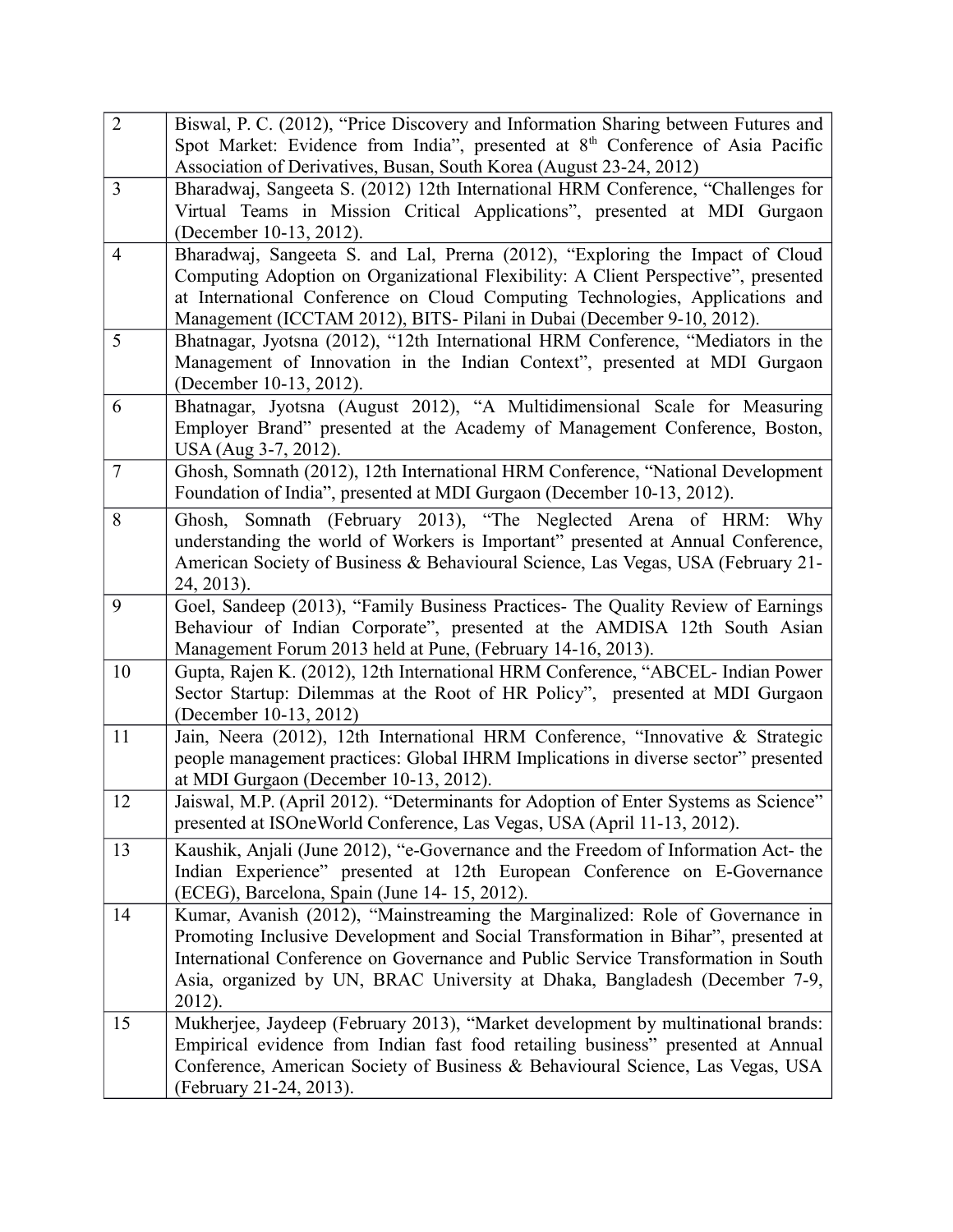| $\overline{2}$ | Biswal, P. C. (2012), "Price Discovery and Information Sharing between Futures and                                                                         |
|----------------|------------------------------------------------------------------------------------------------------------------------------------------------------------|
|                | Spot Market: Evidence from India", presented at 8 <sup>th</sup> Conference of Asia Pacific                                                                 |
|                | Association of Derivatives, Busan, South Korea (August 23-24, 2012)                                                                                        |
| 3              | Bharadwaj, Sangeeta S. (2012) 12th International HRM Conference, "Challenges for                                                                           |
|                | Virtual Teams in Mission Critical Applications", presented at MDI Gurgaon                                                                                  |
|                | (December 10-13, 2012).                                                                                                                                    |
| $\overline{4}$ | Bharadwaj, Sangeeta S. and Lal, Prerna (2012), "Exploring the Impact of Cloud                                                                              |
|                | Computing Adoption on Organizational Flexibility: A Client Perspective", presented                                                                         |
|                | at International Conference on Cloud Computing Technologies, Applications and                                                                              |
| 5              | Management (ICCTAM 2012), BITS- Pilani in Dubai (December 9-10, 2012).<br>Bhatnagar, Jyotsna (2012), "12th International HRM Conference, "Mediators in the |
|                | Management of Innovation in the Indian Context", presented at MDI Gurgaon                                                                                  |
|                | (December 10-13, 2012).                                                                                                                                    |
| 6              | Bhatnagar, Jyotsna (August 2012), "A Multidimensional Scale for Measuring                                                                                  |
|                | Employer Brand" presented at the Academy of Management Conference, Boston,                                                                                 |
|                | USA (Aug 3-7, 2012).                                                                                                                                       |
| $\overline{7}$ | Ghosh, Somnath (2012), 12th International HRM Conference, "National Development                                                                            |
|                | Foundation of India", presented at MDI Gurgaon (December 10-13, 2012).                                                                                     |
| 8              | Ghosh, Somnath (February 2013), "The Neglected Arena of HRM: Why                                                                                           |
|                | understanding the world of Workers is Important" presented at Annual Conference,                                                                           |
|                | American Society of Business & Behavioural Science, Las Vegas, USA (February 21-                                                                           |
|                | 24, 2013).                                                                                                                                                 |
| 9              | Goel, Sandeep (2013), "Family Business Practices- The Quality Review of Earnings                                                                           |
|                | Behaviour of Indian Corporate", presented at the AMDISA 12th South Asian                                                                                   |
|                | Management Forum 2013 held at Pune, (February 14-16, 2013).                                                                                                |
| 10             | Gupta, Rajen K. (2012), 12th International HRM Conference, "ABCEL- Indian Power                                                                            |
|                | Sector Startup: Dilemmas at the Root of HR Policy", presented at MDI Gurgaon<br>(December 10-13, 2012)                                                     |
| 11             | Jain, Neera (2012), 12th International HRM Conference, "Innovative & Strategic                                                                             |
|                | people management practices: Global IHRM Implications in diverse sector" presented                                                                         |
|                | at MDI Gurgaon (December 10-13, 2012).                                                                                                                     |
| 12             | Jaiswal, M.P. (April 2012). "Determinants for Adoption of Enter Systems as Science"                                                                        |
|                | presented at ISOneWorld Conference, Las Vegas, USA (April 11-13, 2012).                                                                                    |
| 13             | Kaushik, Anjali (June 2012), "e-Governance and the Freedom of Information Act- the                                                                         |
|                | Indian Experience" presented at 12th European Conference on E-Governance                                                                                   |
|                | (ECEG), Barcelona, Spain (June 14-15, 2012).                                                                                                               |
| 14             | Kumar, Avanish (2012), "Mainstreaming the Marginalized: Role of Governance in                                                                              |
|                | Promoting Inclusive Development and Social Transformation in Bihar", presented at                                                                          |
|                | International Conference on Governance and Public Service Transformation in South                                                                          |
|                | Asia, organized by UN, BRAC University at Dhaka, Bangladesh (December 7-9,                                                                                 |
|                | $2012$ ).                                                                                                                                                  |
| 15             | Mukherjee, Jaydeep (February 2013), "Market development by multinational brands:                                                                           |
|                | Empirical evidence from Indian fast food retailing business" presented at Annual                                                                           |
|                | Conference, American Society of Business & Behavioural Science, Las Vegas, USA                                                                             |
|                | (February 21-24, 2013).                                                                                                                                    |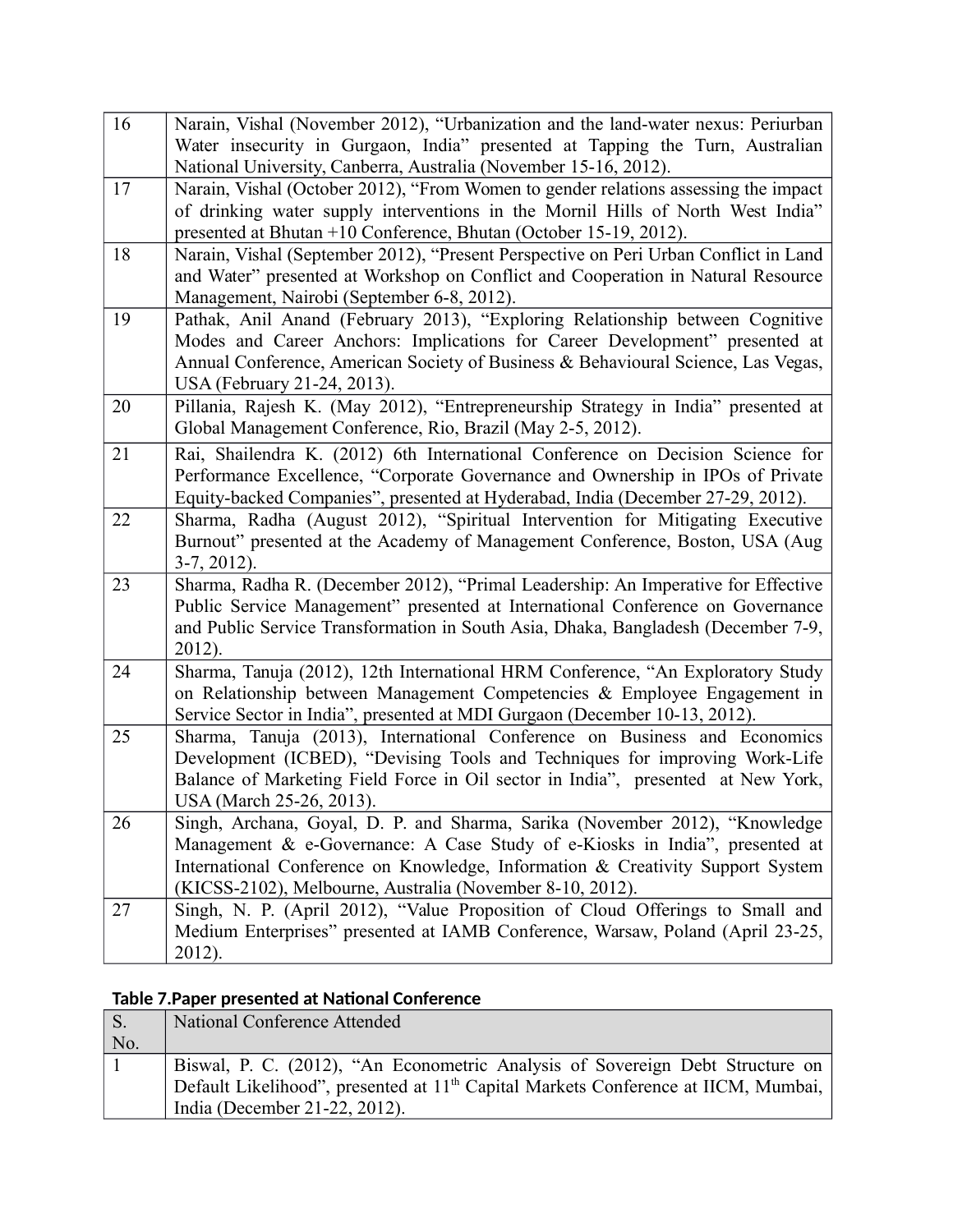| 16 | Narain, Vishal (November 2012), "Urbanization and the land-water nexus: Periurban<br>Water insecurity in Gurgaon, India" presented at Tapping the Turn, Australian<br>National University, Canberra, Australia (November 15-16, 2012).                                                                    |
|----|-----------------------------------------------------------------------------------------------------------------------------------------------------------------------------------------------------------------------------------------------------------------------------------------------------------|
| 17 | Narain, Vishal (October 2012), "From Women to gender relations assessing the impact<br>of drinking water supply interventions in the Mornil Hills of North West India"<br>presented at Bhutan +10 Conference, Bhutan (October 15-19, 2012).                                                               |
| 18 | Narain, Vishal (September 2012), "Present Perspective on Peri Urban Conflict in Land<br>and Water" presented at Workshop on Conflict and Cooperation in Natural Resource<br>Management, Nairobi (September 6-8, 2012).                                                                                    |
| 19 | Pathak, Anil Anand (February 2013), "Exploring Relationship between Cognitive<br>Modes and Career Anchors: Implications for Career Development" presented at<br>Annual Conference, American Society of Business & Behavioural Science, Las Vegas,<br>USA (February 21-24, 2013).                          |
| 20 | Pillania, Rajesh K. (May 2012), "Entrepreneurship Strategy in India" presented at<br>Global Management Conference, Rio, Brazil (May 2-5, 2012).                                                                                                                                                           |
| 21 | Rai, Shailendra K. (2012) 6th International Conference on Decision Science for<br>Performance Excellence, "Corporate Governance and Ownership in IPOs of Private<br>Equity-backed Companies", presented at Hyderabad, India (December 27-29, 2012).                                                       |
| 22 | Sharma, Radha (August 2012), "Spiritual Intervention for Mitigating Executive<br>Burnout" presented at the Academy of Management Conference, Boston, USA (Aug<br>$3-7, 2012$ ).                                                                                                                           |
| 23 | Sharma, Radha R. (December 2012), "Primal Leadership: An Imperative for Effective<br>Public Service Management" presented at International Conference on Governance<br>and Public Service Transformation in South Asia, Dhaka, Bangladesh (December 7-9,<br>2012).                                        |
| 24 | Sharma, Tanuja (2012), 12th International HRM Conference, "An Exploratory Study<br>on Relationship between Management Competencies & Employee Engagement in<br>Service Sector in India", presented at MDI Gurgaon (December 10-13, 2012).                                                                 |
| 25 | Sharma, Tanuja (2013), International Conference on Business and Economics<br>Development (ICBED), "Devising Tools and Techniques for improving Work-Life<br>Balance of Marketing Field Force in Oil sector in India", presented at New York,<br>USA (March 25-26, 2013).                                  |
| 26 | Singh, Archana, Goyal, D. P. and Sharma, Sarika (November 2012), "Knowledge<br>Management & e-Governance: A Case Study of e-Kiosks in India", presented at<br>International Conference on Knowledge, Information & Creativity Support System<br>(KICSS-2102), Melbourne, Australia (November 8-10, 2012). |
| 27 | Singh, N. P. (April 2012), "Value Proposition of Cloud Offerings to Small and<br>Medium Enterprises" presented at IAMB Conference, Warsaw, Poland (April 23-25,<br>2012).                                                                                                                                 |

## **Table 7.Paper presented at National Conference**

| $\mathsf{S}$ . | National Conference Attended                                                                                                                                                                                     |
|----------------|------------------------------------------------------------------------------------------------------------------------------------------------------------------------------------------------------------------|
| No.            |                                                                                                                                                                                                                  |
|                | Biswal, P. C. (2012), "An Econometric Analysis of Sovereign Debt Structure on<br>Default Likelihood", presented at 11 <sup>th</sup> Capital Markets Conference at IICM, Mumbai,<br>India (December 21-22, 2012). |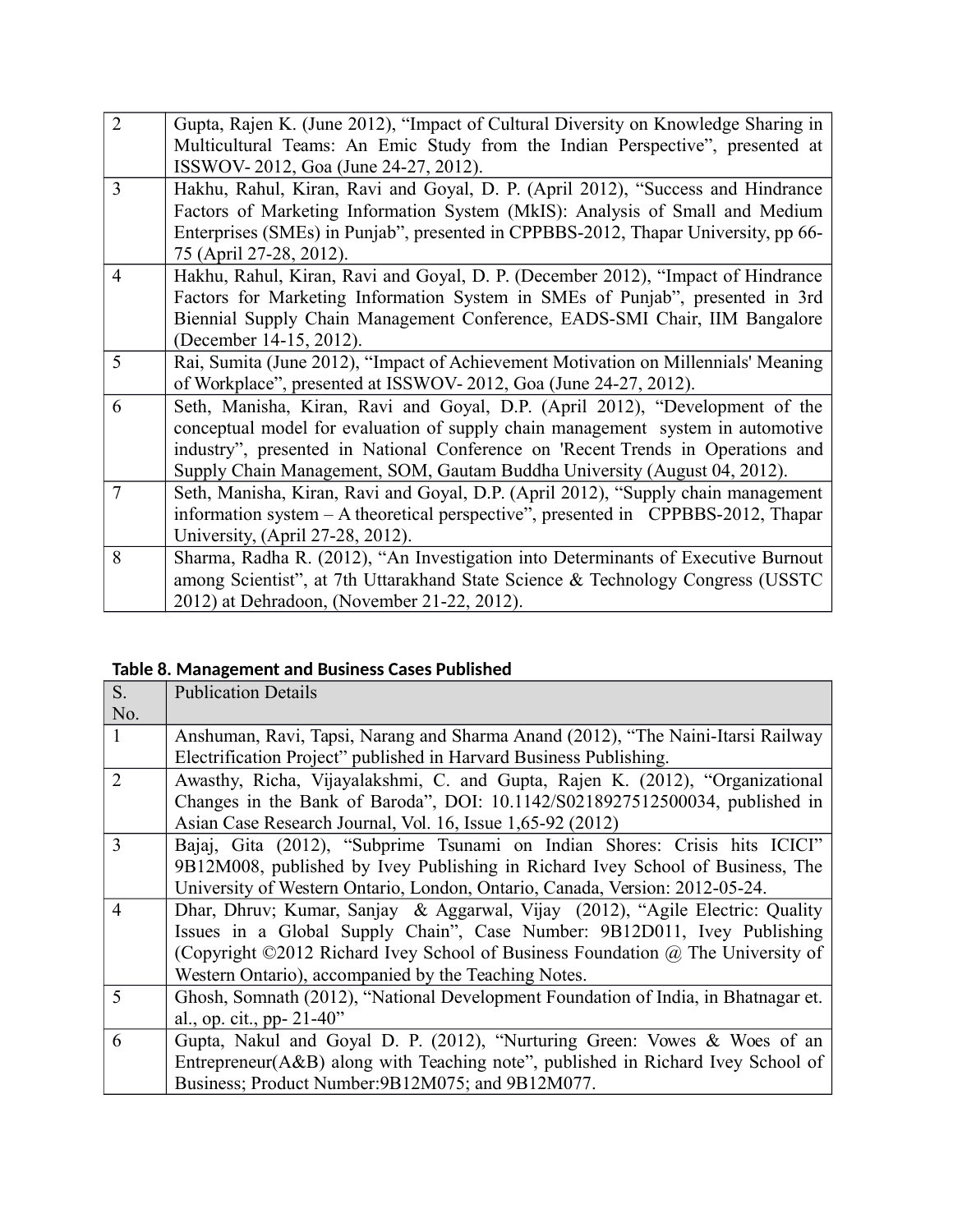| $\overline{2}$ | Gupta, Rajen K. (June 2012), "Impact of Cultural Diversity on Knowledge Sharing in |
|----------------|------------------------------------------------------------------------------------|
|                | Multicultural Teams: An Emic Study from the Indian Perspective", presented at      |
|                | ISSWOV-2012, Goa (June 24-27, 2012).                                               |
| 3              | Hakhu, Rahul, Kiran, Ravi and Goyal, D. P. (April 2012), "Success and Hindrance    |
|                | Factors of Marketing Information System (MkIS): Analysis of Small and Medium       |
|                | Enterprises (SMEs) in Punjab", presented in CPPBBS-2012, Thapar University, pp 66- |
|                | 75 (April 27-28, 2012).                                                            |
| $\overline{4}$ | Hakhu, Rahul, Kiran, Ravi and Goyal, D. P. (December 2012), "Impact of Hindrance   |
|                | Factors for Marketing Information System in SMEs of Punjab", presented in 3rd      |
|                | Biennial Supply Chain Management Conference, EADS-SMI Chair, IIM Bangalore         |
|                | (December 14-15, 2012).                                                            |
| 5              | Rai, Sumita (June 2012), "Impact of Achievement Motivation on Millennials' Meaning |
|                | of Workplace", presented at ISSWOV-2012, Goa (June 24-27, 2012).                   |
| 6              | Seth, Manisha, Kiran, Ravi and Goyal, D.P. (April 2012), "Development of the       |
|                | conceptual model for evaluation of supply chain management system in automotive    |
|                | industry", presented in National Conference on 'Recent Trends in Operations and    |
|                | Supply Chain Management, SOM, Gautam Buddha University (August 04, 2012).          |
| $\overline{7}$ | Seth, Manisha, Kiran, Ravi and Goyal, D.P. (April 2012), "Supply chain management  |
|                | information system - A theoretical perspective", presented in CPPBBS-2012, Thapar  |
|                | University, (April 27-28, 2012).                                                   |
| 8              | Sharma, Radha R. (2012), "An Investigation into Determinants of Executive Burnout  |
|                | among Scientist", at 7th Uttarakhand State Science & Technology Congress (USSTC    |
|                | 2012) at Dehradoon, (November 21-22, 2012).                                        |

## **Table 8. Management and Business Cases Published**

| $S_{\cdot}$              | <b>Publication Details</b>                                                         |
|--------------------------|------------------------------------------------------------------------------------|
| No.                      |                                                                                    |
| $\mathbf{1}$             | Anshuman, Ravi, Tapsi, Narang and Sharma Anand (2012), "The Naini-Itarsi Railway   |
|                          | Electrification Project" published in Harvard Business Publishing.                 |
| $\overline{2}$           | Awasthy, Richa, Vijayalakshmi, C. and Gupta, Rajen K. (2012), "Organizational      |
|                          | Changes in the Bank of Baroda", DOI: 10.1142/S0218927512500034, published in       |
|                          | Asian Case Research Journal, Vol. 16, Issue 1,65-92 (2012)                         |
| $\overline{\mathcal{E}}$ | Bajaj, Gita (2012), "Subprime Tsunami on Indian Shores: Crisis hits ICICI"         |
|                          | 9B12M008, published by Ivey Publishing in Richard Ivey School of Business, The     |
|                          | University of Western Ontario, London, Ontario, Canada, Version: 2012-05-24.       |
| $\overline{4}$           | Dhar, Dhruv; Kumar, Sanjay & Aggarwal, Vijay (2012), "Agile Electric: Quality      |
|                          | Issues in a Global Supply Chain", Case Number: 9B12D011, Ivey Publishing           |
|                          | (Copyright ©2012 Richard Ivey School of Business Foundation @ The University of    |
|                          | Western Ontario), accompanied by the Teaching Notes.                               |
| $\overline{\mathcal{L}}$ | Ghosh, Somnath (2012), "National Development Foundation of India, in Bhatnagar et. |
|                          | al., op. cit., pp- 21-40"                                                          |
| 6                        | Gupta, Nakul and Goyal D. P. (2012), "Nurturing Green: Vowes & Woes of an          |
|                          | Entrepreneur(A&B) along with Teaching note", published in Richard Ivey School of   |
|                          | Business; Product Number: 9B12M075; and 9B12M077.                                  |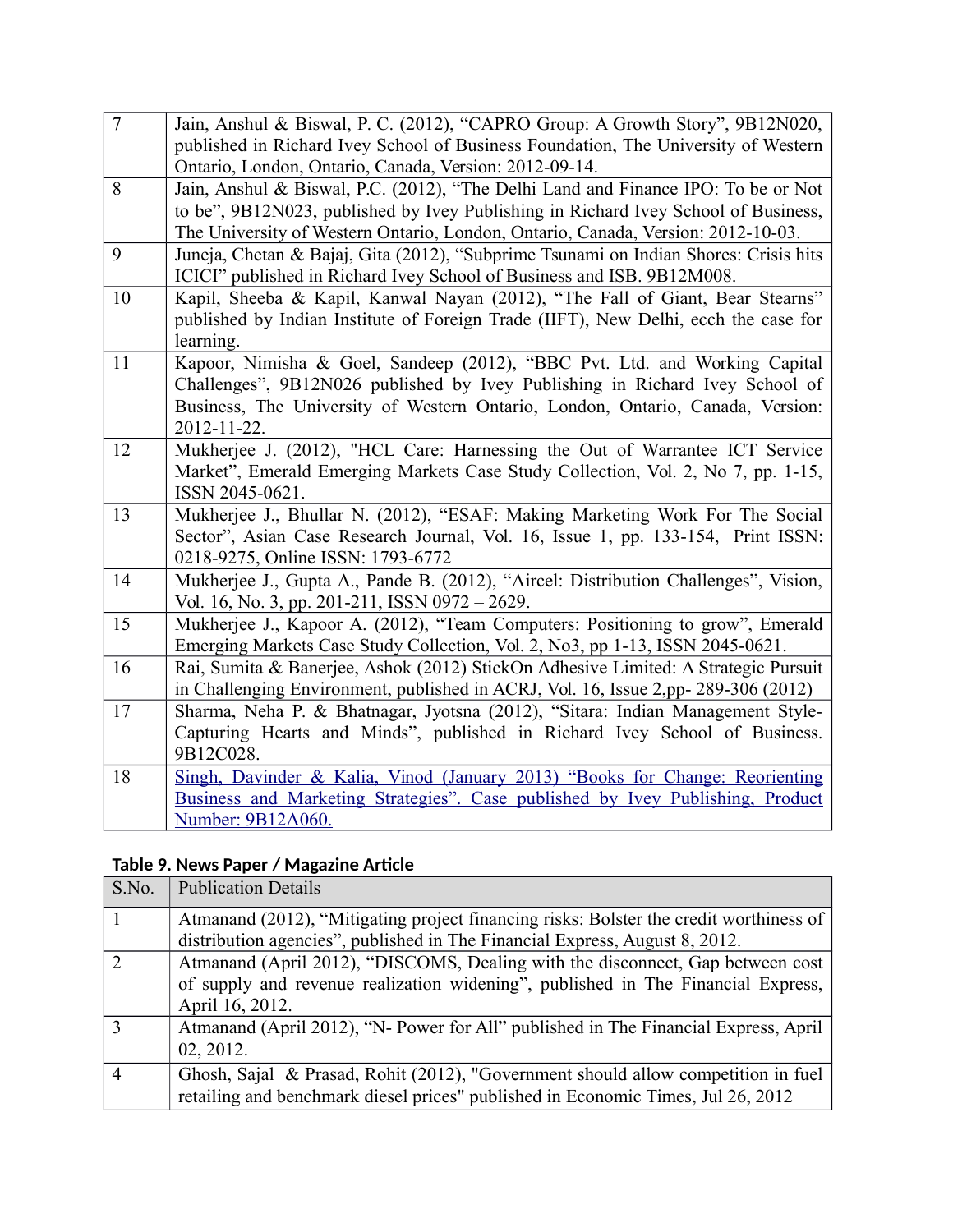| $\overline{7}$ | Jain, Anshul & Biswal, P. C. (2012), "CAPRO Group: A Growth Story", 9B12N020,<br>published in Richard Ivey School of Business Foundation, The University of Western                                                                                         |
|----------------|-------------------------------------------------------------------------------------------------------------------------------------------------------------------------------------------------------------------------------------------------------------|
|                | Ontario, London, Ontario, Canada, Version: 2012-09-14.                                                                                                                                                                                                      |
| 8              | Jain, Anshul & Biswal, P.C. (2012), "The Delhi Land and Finance IPO: To be or Not<br>to be", 9B12N023, published by Ivey Publishing in Richard Ivey School of Business,<br>The University of Western Ontario, London, Ontario, Canada, Version: 2012-10-03. |
| 9              | Juneja, Chetan & Bajaj, Gita (2012), "Subprime Tsunami on Indian Shores: Crisis hits<br>ICICI" published in Richard Ivey School of Business and ISB. 9B12M008.                                                                                              |
| 10             | Kapil, Sheeba & Kapil, Kanwal Nayan (2012), "The Fall of Giant, Bear Stearns"<br>published by Indian Institute of Foreign Trade (IIFT), New Delhi, ecch the case for<br>learning.                                                                           |
| 11             | Kapoor, Nimisha & Goel, Sandeep (2012), "BBC Pvt. Ltd. and Working Capital<br>Challenges", 9B12N026 published by Ivey Publishing in Richard Ivey School of<br>Business, The University of Western Ontario, London, Ontario, Canada, Version:<br>2012-11-22. |
| 12             | Mukherjee J. (2012), "HCL Care: Harnessing the Out of Warrantee ICT Service<br>Market", Emerald Emerging Markets Case Study Collection, Vol. 2, No 7, pp. 1-15,<br>ISSN 2045-0621.                                                                          |
| 13             | Mukherjee J., Bhullar N. (2012), "ESAF: Making Marketing Work For The Social<br>Sector", Asian Case Research Journal, Vol. 16, Issue 1, pp. 133-154, Print ISSN:<br>0218-9275, Online ISSN: 1793-6772                                                       |
| 14             | Mukherjee J., Gupta A., Pande B. (2012), "Aircel: Distribution Challenges", Vision,<br>Vol. 16, No. 3, pp. 201-211, ISSN 0972 - 2629.                                                                                                                       |
| 15             | Mukherjee J., Kapoor A. (2012), "Team Computers: Positioning to grow", Emerald<br>Emerging Markets Case Study Collection, Vol. 2, No3, pp 1-13, ISSN 2045-0621.                                                                                             |
| 16             | Rai, Sumita & Banerjee, Ashok (2012) StickOn Adhesive Limited: A Strategic Pursuit<br>in Challenging Environment, published in ACRJ, Vol. 16, Issue 2,pp- 289-306 (2012)                                                                                    |
| 17             | Sharma, Neha P. & Bhatnagar, Jyotsna (2012), "Sitara: Indian Management Style-<br>Capturing Hearts and Minds", published in Richard Ivey School of Business.<br>9B12C028.                                                                                   |
| 18             | Singh, Davinder & Kalia, Vinod (January 2013) "Books for Change: Reorienting<br>Business and Marketing Strategies". Case published by Ivey Publishing, Product<br>Number: 9B12A060.                                                                         |

#### **Table 9. News Paper / Magazine Article**

| S.No.          | <b>Publication Details</b>                                                                                                                                            |
|----------------|-----------------------------------------------------------------------------------------------------------------------------------------------------------------------|
|                | Atmanand (2012), "Mitigating project financing risks: Bolster the credit worthiness of                                                                                |
|                | distribution agencies", published in The Financial Express, August 8, 2012.                                                                                           |
| $\mathcal{D}$  | Atmanand (April 2012), "DISCOMS, Dealing with the disconnect, Gap between cost                                                                                        |
|                | of supply and revenue realization widening", published in The Financial Express,                                                                                      |
|                | April 16, 2012.                                                                                                                                                       |
| $\mathbf{R}$   | Atmanand (April 2012), "N- Power for All" published in The Financial Express, April<br>02, 2012.                                                                      |
| $\overline{4}$ | Ghosh, Sajal & Prasad, Rohit (2012), "Government should allow competition in fuel<br>retailing and benchmark diesel prices" published in Economic Times, Jul 26, 2012 |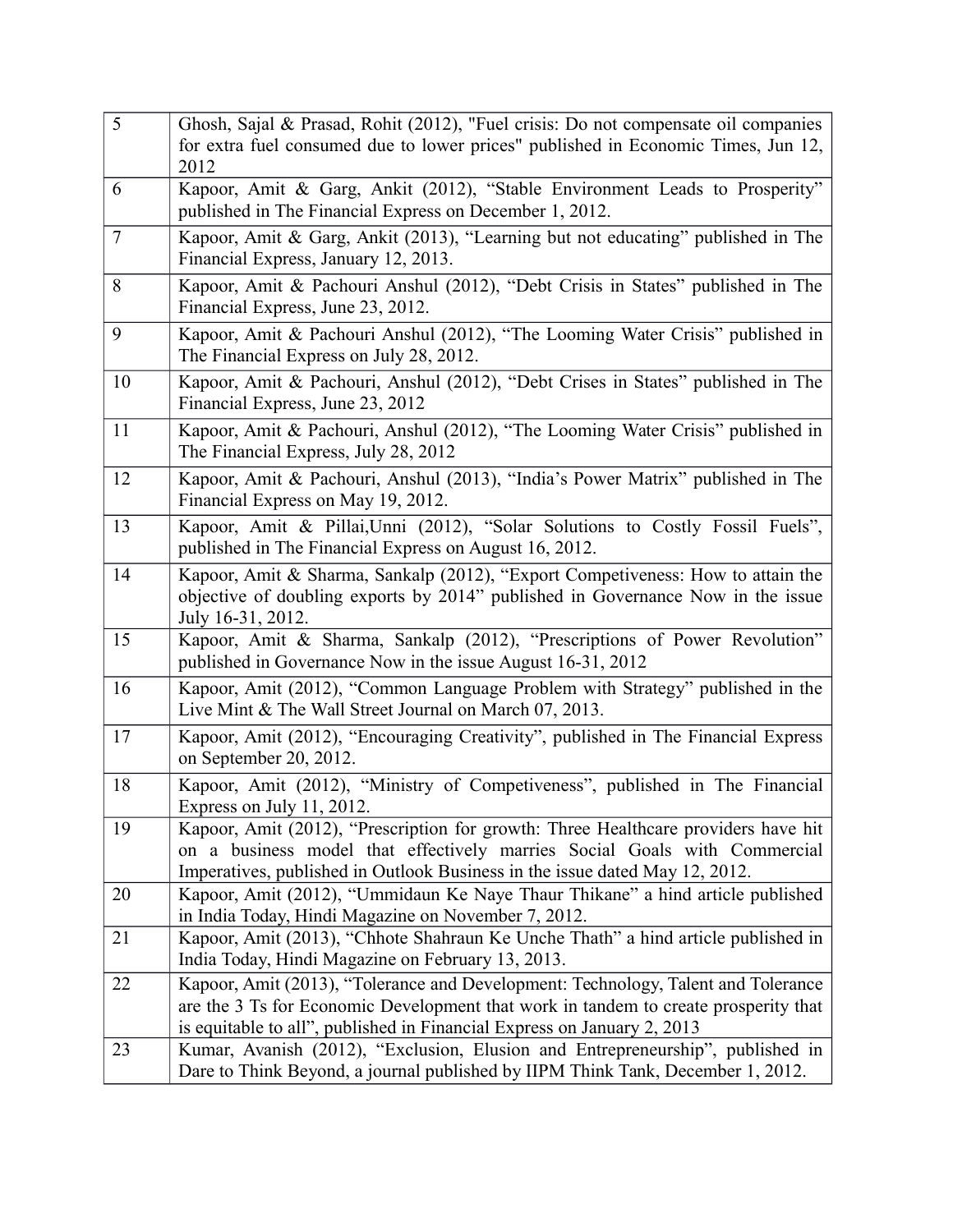| 5              | Ghosh, Sajal & Prasad, Rohit $(2012)$ , "Fuel crisis: Do not compensate oil companies<br>for extra fuel consumed due to lower prices" published in Economic Times, Jun 12,<br>2012                                                                  |
|----------------|-----------------------------------------------------------------------------------------------------------------------------------------------------------------------------------------------------------------------------------------------------|
| 6              | Kapoor, Amit & Garg, Ankit (2012), "Stable Environment Leads to Prosperity"<br>published in The Financial Express on December 1, 2012.                                                                                                              |
| $\overline{7}$ | Kapoor, Amit & Garg, Ankit (2013), "Learning but not educating" published in The<br>Financial Express, January 12, 2013.                                                                                                                            |
| 8              | Kapoor, Amit & Pachouri Anshul (2012), "Debt Crisis in States" published in The<br>Financial Express, June 23, 2012.                                                                                                                                |
| 9              | Kapoor, Amit & Pachouri Anshul (2012), "The Looming Water Crisis" published in<br>The Financial Express on July 28, 2012.                                                                                                                           |
| 10             | Kapoor, Amit & Pachouri, Anshul (2012), "Debt Crises in States" published in The<br>Financial Express, June 23, 2012                                                                                                                                |
| 11             | Kapoor, Amit & Pachouri, Anshul (2012), "The Looming Water Crisis" published in<br>The Financial Express, July 28, 2012                                                                                                                             |
| 12             | Kapoor, Amit & Pachouri, Anshul (2013), "India's Power Matrix" published in The<br>Financial Express on May 19, 2012.                                                                                                                               |
| 13             | Kapoor, Amit & Pillai, Unni (2012), "Solar Solutions to Costly Fossil Fuels",<br>published in The Financial Express on August 16, 2012.                                                                                                             |
| 14             | Kapoor, Amit & Sharma, Sankalp (2012), "Export Competiveness: How to attain the<br>objective of doubling exports by 2014" published in Governance Now in the issue<br>July 16-31, 2012.                                                             |
| 15             | Kapoor, Amit & Sharma, Sankalp (2012), "Prescriptions of Power Revolution"<br>published in Governance Now in the issue August 16-31, 2012                                                                                                           |
| 16             | Kapoor, Amit (2012), "Common Language Problem with Strategy" published in the<br>Live Mint & The Wall Street Journal on March 07, 2013.                                                                                                             |
| 17             | Kapoor, Amit (2012), "Encouraging Creativity", published in The Financial Express<br>on September 20, 2012.                                                                                                                                         |
| 18             | Kapoor, Amit (2012), "Ministry of Competiveness", published in The Financial<br>Express on July 11, 2012.                                                                                                                                           |
| 19             | Kapoor, Amit (2012), "Prescription for growth: Three Healthcare providers have hit<br>on a business model that effectively marries Social Goals with Commercial<br>Imperatives, published in Outlook Business in the issue dated May 12, 2012.      |
| 20             | Kapoor, Amit (2012), "Ummidaun Ke Naye Thaur Thikane" a hind article published<br>in India Today, Hindi Magazine on November 7, 2012.                                                                                                               |
| 21             | Kapoor, Amit (2013), "Chhote Shahraun Ke Unche Thath" a hind article published in<br>India Today, Hindi Magazine on February 13, 2013.                                                                                                              |
| 22             | Kapoor, Amit (2013), "Tolerance and Development: Technology, Talent and Tolerance<br>are the 3 Ts for Economic Development that work in tandem to create prosperity that<br>is equitable to all", published in Financial Express on January 2, 2013 |
| 23             | Kumar, Avanish (2012), "Exclusion, Elusion and Entrepreneurship", published in<br>Dare to Think Beyond, a journal published by IIPM Think Tank, December 1, 2012.                                                                                   |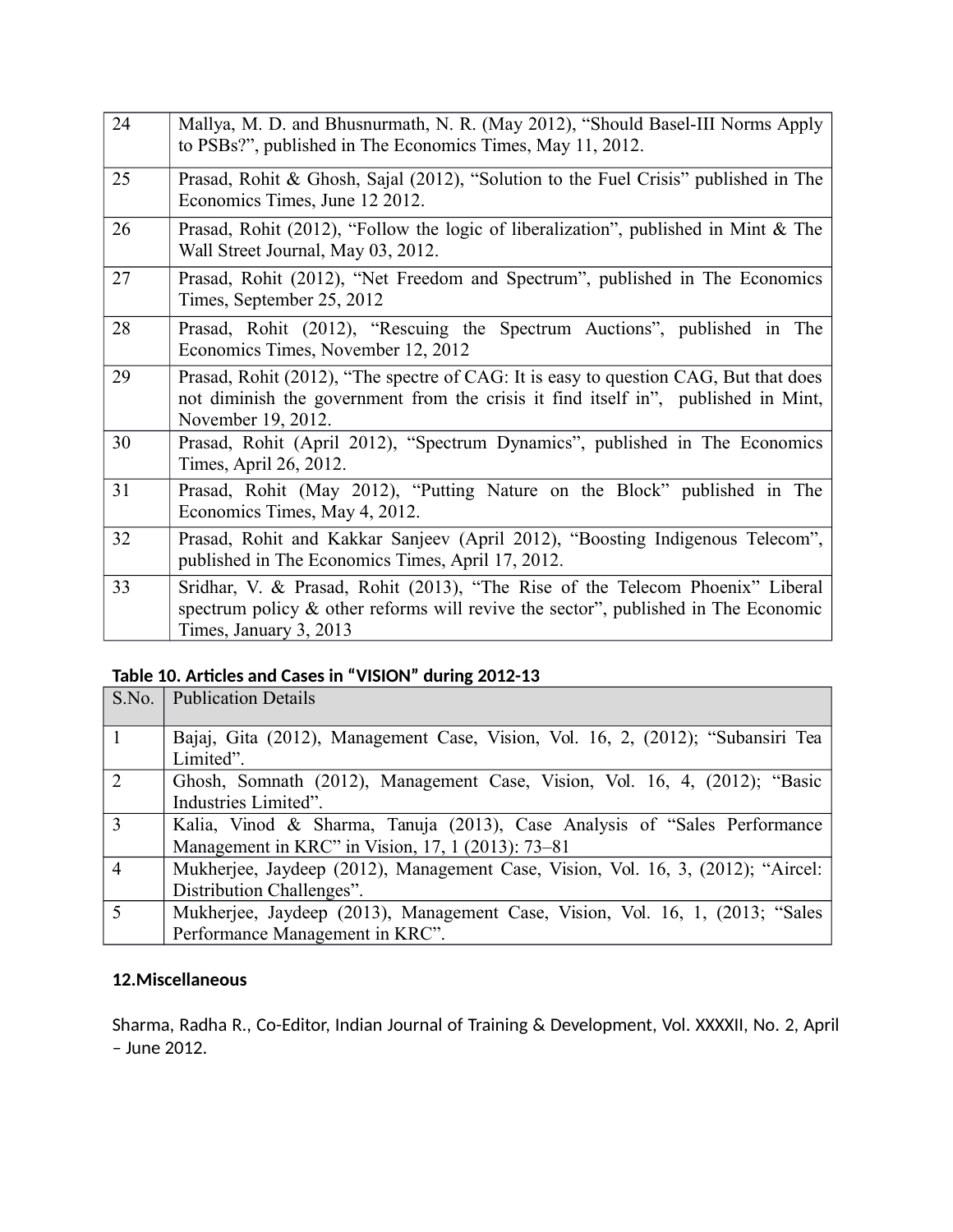| 24 | Mallya, M. D. and Bhusnurmath, N. R. (May 2012), "Should Basel-III Norms Apply<br>to PSBs?", published in The Economics Times, May 11, 2012.                                                     |
|----|--------------------------------------------------------------------------------------------------------------------------------------------------------------------------------------------------|
| 25 | Prasad, Rohit & Ghosh, Sajal (2012), "Solution to the Fuel Crisis" published in The<br>Economics Times, June 12 2012.                                                                            |
| 26 | Prasad, Rohit (2012), "Follow the logic of liberalization", published in Mint & The<br>Wall Street Journal, May 03, 2012.                                                                        |
| 27 | Prasad, Rohit (2012), "Net Freedom and Spectrum", published in The Economics<br>Times, September 25, 2012                                                                                        |
| 28 | Prasad, Rohit (2012), "Rescuing the Spectrum Auctions", published in The<br>Economics Times, November 12, 2012                                                                                   |
| 29 | Prasad, Rohit (2012), "The spectre of CAG: It is easy to question CAG, But that does<br>not diminish the government from the crisis it find itself in", published in Mint,<br>November 19, 2012. |
| 30 | Prasad, Rohit (April 2012), "Spectrum Dynamics", published in The Economics<br>Times, April 26, 2012.                                                                                            |
| 31 | Prasad, Rohit (May 2012), "Putting Nature on the Block" published in The<br>Economics Times, May 4, 2012.                                                                                        |
| 32 | Prasad, Rohit and Kakkar Sanjeev (April 2012), "Boosting Indigenous Telecom",<br>published in The Economics Times, April 17, 2012.                                                               |
| 33 | Sridhar, V. & Prasad, Rohit (2013), "The Rise of the Telecom Phoenix" Liberal<br>spectrum policy $\&$ other reforms will revive the sector", published in The Economic<br>Times, January 3, 2013 |

### **Table 10. Articles and Cases in "VISION" during 2012-13**

| S.No.          | <b>Publication Details</b>                                                       |
|----------------|----------------------------------------------------------------------------------|
|                |                                                                                  |
| $\overline{1}$ | Bajaj, Gita (2012), Management Case, Vision, Vol. 16, 2, (2012); "Subansiri Tea  |
|                | Limited".                                                                        |
| 2              | Ghosh, Somnath (2012), Management Case, Vision, Vol. 16, 4, (2012); "Basic       |
|                | Industries Limited".                                                             |
| 3              | Kalia, Vinod & Sharma, Tanuja (2013), Case Analysis of "Sales Performance"       |
|                | Management in KRC" in Vision, 17, 1 (2013): 73-81                                |
| $\overline{4}$ | Mukherjee, Jaydeep (2012), Management Case, Vision, Vol. 16, 3, (2012); "Aircel: |
|                | Distribution Challenges".                                                        |
| 5              | Mukherjee, Jaydeep (2013), Management Case, Vision, Vol. 16, 1, (2013; "Sales"   |
|                | Performance Management in KRC".                                                  |

#### **12.Miscellaneous**

Sharma, Radha R., Co-Editor, Indian Journal of Training & Development, Vol. XXXXII, No. 2, April – June 2012.